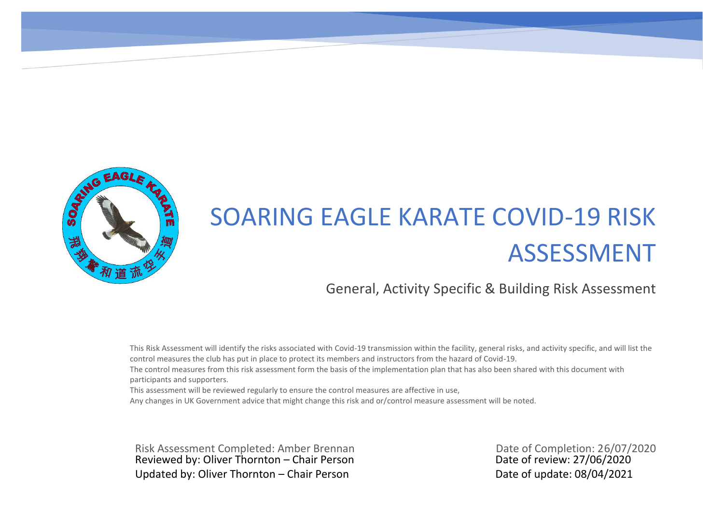

## SOARING EAGLE KARATE COVID-19 RISK ASSESSMENT

## General, Activity Specific & Building Risk Assessment

This Risk Assessment will identify the risks associated with Covid-19 transmission within the facility, general risks, and activity specific, and will list the control measures the club has put in place to protect its members and instructors from the hazard of Covid-19.

The control measures from this risk assessment form the basis of the implementation plan that has also been shared with this document with participants and supporters.

This assessment will be reviewed regularly to ensure the control measures are affective in use,

Any changes in UK Government advice that might change this risk and or/control measure assessment will be noted.

Reviewed by: Oliver Thornton – Chair Person Date of review: 27/06/2020 Updated by: Oliver Thornton – Chair Person Date of update: 08/04/2021 Risk Assessment Completed: Amber Brennan Date of Completion: 26/07/2020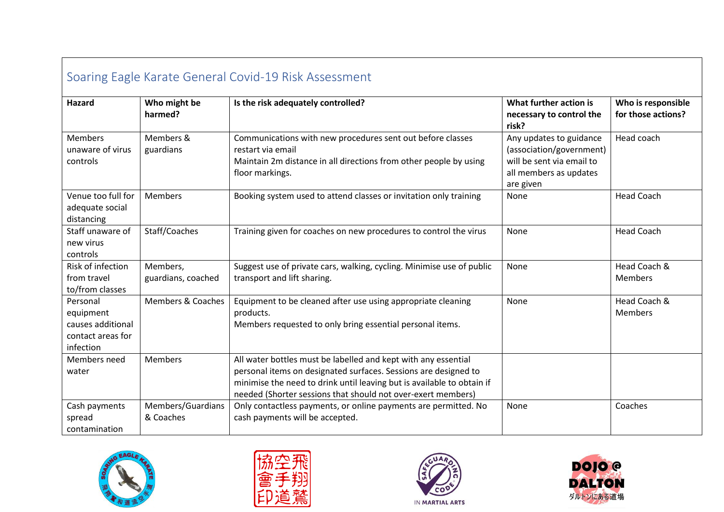| Soaring Eagle Karate General Covid-19 Risk Assessment                        |                                |                                                                                                                                                                                                                                                                             |                                                                                                                         |                                          |  |
|------------------------------------------------------------------------------|--------------------------------|-----------------------------------------------------------------------------------------------------------------------------------------------------------------------------------------------------------------------------------------------------------------------------|-------------------------------------------------------------------------------------------------------------------------|------------------------------------------|--|
| Hazard                                                                       | Who might be<br>harmed?        | Is the risk adequately controlled?                                                                                                                                                                                                                                          | What further action is<br>necessary to control the<br>risk?                                                             | Who is responsible<br>for those actions? |  |
| <b>Members</b><br>unaware of virus<br>controls                               | Members &<br>guardians         | Communications with new procedures sent out before classes<br>restart via email<br>Maintain 2m distance in all directions from other people by using<br>floor markings.                                                                                                     | Any updates to guidance<br>(association/government)<br>will be sent via email to<br>all members as updates<br>are given | Head coach                               |  |
| Venue too full for<br>adequate social<br>distancing                          | Members                        | Booking system used to attend classes or invitation only training                                                                                                                                                                                                           | None                                                                                                                    | <b>Head Coach</b>                        |  |
| Staff unaware of<br>new virus<br>controls                                    | Staff/Coaches                  | Training given for coaches on new procedures to control the virus                                                                                                                                                                                                           | None                                                                                                                    | <b>Head Coach</b>                        |  |
| Risk of infection<br>from travel<br>to/from classes                          | Members,<br>guardians, coached | Suggest use of private cars, walking, cycling. Minimise use of public<br>transport and lift sharing.                                                                                                                                                                        | None                                                                                                                    | Head Coach &<br><b>Members</b>           |  |
| Personal<br>equipment<br>causes additional<br>contact areas for<br>infection | Members & Coaches              | Equipment to be cleaned after use using appropriate cleaning<br>products.<br>Members requested to only bring essential personal items.                                                                                                                                      | None                                                                                                                    | Head Coach &<br><b>Members</b>           |  |
| Members need<br>water                                                        | <b>Members</b>                 | All water bottles must be labelled and kept with any essential<br>personal items on designated surfaces. Sessions are designed to<br>minimise the need to drink until leaving but is available to obtain if<br>needed (Shorter sessions that should not over-exert members) |                                                                                                                         |                                          |  |
| Cash payments<br>spread<br>contamination                                     | Members/Guardians<br>& Coaches | Only contactless payments, or online payments are permitted. No<br>cash payments will be accepted.                                                                                                                                                                          | None                                                                                                                    | Coaches                                  |  |







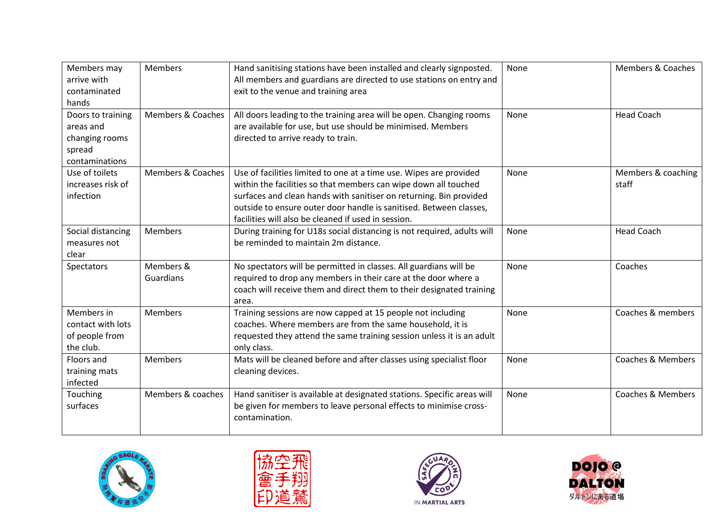| Members may       | <b>Members</b>               | Hand sanitising stations have been installed and clearly signposted.    | None | <b>Members &amp; Coaches</b> |
|-------------------|------------------------------|-------------------------------------------------------------------------|------|------------------------------|
| arrive with       |                              | All members and guardians are directed to use stations on entry and     |      |                              |
| contaminated      |                              | exit to the venue and training area                                     |      |                              |
| hands             |                              |                                                                         |      |                              |
| Doors to training | <b>Members &amp; Coaches</b> | All doors leading to the training area will be open. Changing rooms     | None | <b>Head Coach</b>            |
| areas and         |                              | are available for use, but use should be minimised. Members             |      |                              |
| changing rooms    |                              | directed to arrive ready to train.                                      |      |                              |
| spread            |                              |                                                                         |      |                              |
| contaminations    |                              |                                                                         |      |                              |
| Use of toilets    | Members & Coaches            | Use of facilities limited to one at a time use. Wipes are provided      | None | Members & coaching           |
| increases risk of |                              | within the facilities so that members can wipe down all touched         |      | staff                        |
| infection         |                              | surfaces and clean hands with sanitiser on returning. Bin provided      |      |                              |
|                   |                              | outside to ensure outer door handle is sanitised. Between classes,      |      |                              |
|                   |                              | facilities will also be cleaned if used in session.                     |      |                              |
| Social distancing | <b>Members</b>               | During training for U18s social distancing is not required, adults will | None | <b>Head Coach</b>            |
| measures not      |                              | be reminded to maintain 2m distance.                                    |      |                              |
| clear             |                              |                                                                         |      |                              |
| Spectators        | Members &                    | No spectators will be permitted in classes. All guardians will be       | None | Coaches                      |
|                   | Guardians                    | required to drop any members in their care at the door where a          |      |                              |
|                   |                              | coach will receive them and direct them to their designated training    |      |                              |
|                   |                              | area.                                                                   |      |                              |
| Members in        | <b>Members</b>               | Training sessions are now capped at 15 people not including             | None | Coaches & members            |
| contact with lots |                              | coaches. Where members are from the same household, it is               |      |                              |
| of people from    |                              | requested they attend the same training session unless it is an adult   |      |                              |
| the club.         |                              | only class.                                                             |      |                              |
| Floors and        | <b>Members</b>               | Mats will be cleaned before and after classes using specialist floor    | None | <b>Coaches &amp; Members</b> |
| training mats     |                              | cleaning devices.                                                       |      |                              |
| infected          |                              |                                                                         |      |                              |
| Touching          | Members & coaches            | Hand sanitiser is available at designated stations. Specific areas will | None | <b>Coaches &amp; Members</b> |
| surfaces          |                              | be given for members to leave personal effects to minimise cross-       |      |                              |
|                   |                              | contamination.                                                          |      |                              |
|                   |                              |                                                                         |      |                              |







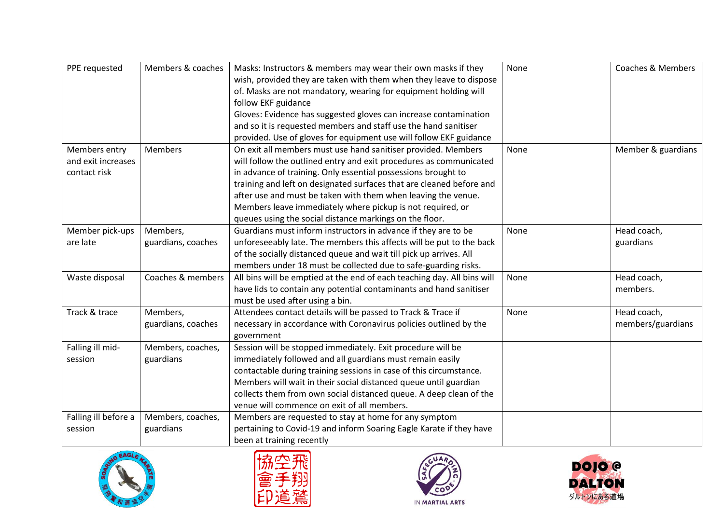| PPE requested        | Members & coaches  | Masks: Instructors & members may wear their own masks if they           | None | <b>Coaches &amp; Members</b> |
|----------------------|--------------------|-------------------------------------------------------------------------|------|------------------------------|
|                      |                    | wish, provided they are taken with them when they leave to dispose      |      |                              |
|                      |                    | of. Masks are not mandatory, wearing for equipment holding will         |      |                              |
|                      |                    | follow EKF guidance                                                     |      |                              |
|                      |                    | Gloves: Evidence has suggested gloves can increase contamination        |      |                              |
|                      |                    | and so it is requested members and staff use the hand sanitiser         |      |                              |
|                      |                    | provided. Use of gloves for equipment use will follow EKF guidance      |      |                              |
| Members entry        | <b>Members</b>     | On exit all members must use hand sanitiser provided. Members           | None | Member & guardians           |
| and exit increases   |                    | will follow the outlined entry and exit procedures as communicated      |      |                              |
| contact risk         |                    | in advance of training. Only essential possessions brought to           |      |                              |
|                      |                    | training and left on designated surfaces that are cleaned before and    |      |                              |
|                      |                    | after use and must be taken with them when leaving the venue.           |      |                              |
|                      |                    | Members leave immediately where pickup is not required, or              |      |                              |
|                      |                    | queues using the social distance markings on the floor.                 |      |                              |
| Member pick-ups      | Members,           | Guardians must inform instructors in advance if they are to be          | None | Head coach,                  |
| are late             | guardians, coaches | unforeseeably late. The members this affects will be put to the back    |      | guardians                    |
|                      |                    | of the socially distanced queue and wait till pick up arrives. All      |      |                              |
|                      |                    | members under 18 must be collected due to safe-guarding risks.          |      |                              |
| Waste disposal       | Coaches & members  | All bins will be emptied at the end of each teaching day. All bins will | None | Head coach,                  |
|                      |                    | have lids to contain any potential contaminants and hand sanitiser      |      | members.                     |
|                      |                    | must be used after using a bin.                                         |      |                              |
| Track & trace        | Members,           | Attendees contact details will be passed to Track & Trace if            | None | Head coach,                  |
|                      | guardians, coaches | necessary in accordance with Coronavirus policies outlined by the       |      | members/guardians            |
|                      |                    | government                                                              |      |                              |
| Falling ill mid-     | Members, coaches,  | Session will be stopped immediately. Exit procedure will be             |      |                              |
| session              | guardians          | immediately followed and all guardians must remain easily               |      |                              |
|                      |                    | contactable during training sessions in case of this circumstance.      |      |                              |
|                      |                    | Members will wait in their social distanced queue until guardian        |      |                              |
|                      |                    | collects them from own social distanced queue. A deep clean of the      |      |                              |
|                      |                    | venue will commence on exit of all members.                             |      |                              |
| Falling ill before a | Members, coaches,  | Members are requested to stay at home for any symptom                   |      |                              |
| session              | guardians          | pertaining to Covid-19 and inform Soaring Eagle Karate if they have     |      |                              |
|                      |                    | been at training recently                                               |      |                              |







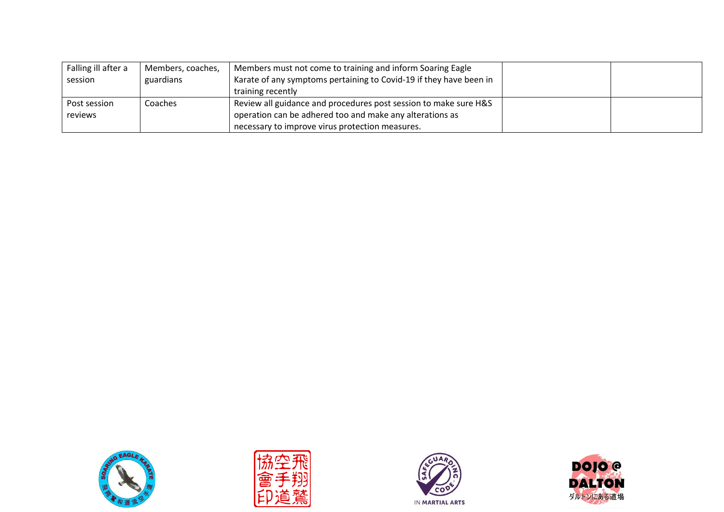| Falling ill after a | Members, coaches, | Members must not come to training and inform Soaring Eagle         |  |
|---------------------|-------------------|--------------------------------------------------------------------|--|
| session             | guardians         | Karate of any symptoms pertaining to Covid-19 if they have been in |  |
|                     |                   | training recently                                                  |  |
| Post session        | Coaches           | Review all guidance and procedures post session to make sure H&S   |  |
| reviews             |                   | operation can be adhered too and make any alterations as           |  |
|                     |                   | necessary to improve virus protection measures.                    |  |







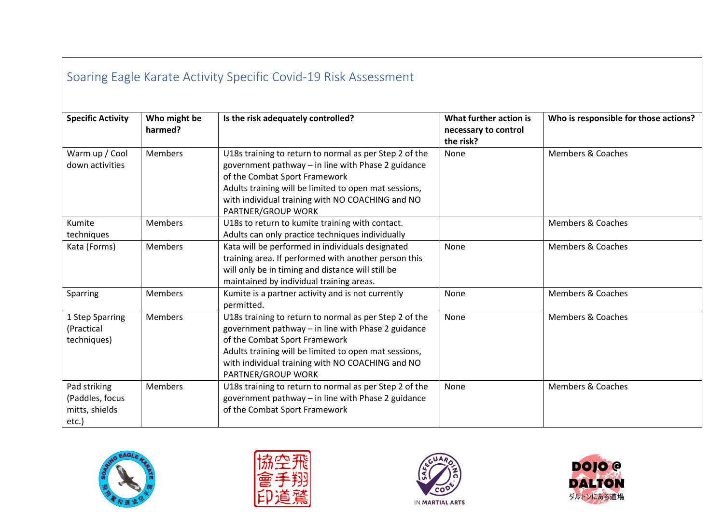| Soaring Eagle Karate Activity Specific Covid-19 Risk Assessment |                         |                                                                                                                                                                                                                                                                                  |                                                             |                                       |  |  |
|-----------------------------------------------------------------|-------------------------|----------------------------------------------------------------------------------------------------------------------------------------------------------------------------------------------------------------------------------------------------------------------------------|-------------------------------------------------------------|---------------------------------------|--|--|
| <b>Specific Activity</b>                                        | Who might be<br>harmed? | Is the risk adequately controlled?                                                                                                                                                                                                                                               | What further action is<br>necessary to control<br>the risk? | Who is responsible for those actions? |  |  |
| Warm up / Cool<br>down activities                               | <b>Members</b>          | U18s training to return to normal as per Step 2 of the<br>government pathway - in line with Phase 2 guidance<br>of the Combat Sport Framework<br>Adults training will be limited to open mat sessions,<br>with individual training with NO COACHING and NO<br>PARTNER/GROUP WORK | None                                                        | <b>Members &amp; Coaches</b>          |  |  |
| Kumite<br>techniques                                            | <b>Members</b>          | U18s to return to kumite training with contact.<br>Adults can only practice techniques individually                                                                                                                                                                              |                                                             | <b>Members &amp; Coaches</b>          |  |  |
| Kata (Forms)                                                    | <b>Members</b>          | Kata will be performed in individuals designated<br>training area. If performed with another person this<br>will only be in timing and distance will still be<br>maintained by individual training areas.                                                                        | None                                                        | <b>Members &amp; Coaches</b>          |  |  |
| Sparring                                                        | <b>Members</b>          | Kumite is a partner activity and is not currently<br>permitted.                                                                                                                                                                                                                  | None                                                        | <b>Members &amp; Coaches</b>          |  |  |
| 1 Step Sparring<br>(Practical<br>techniques)                    | <b>Members</b>          | U18s training to return to normal as per Step 2 of the<br>government pathway - in line with Phase 2 guidance<br>of the Combat Sport Framework<br>Adults training will be limited to open mat sessions,<br>with individual training with NO COACHING and NO<br>PARTNER/GROUP WORK | None                                                        | Members & Coaches                     |  |  |
| Pad striking<br>(Paddles, focus<br>mitts, shields<br>etc.)      | <b>Members</b>          | U18s training to return to normal as per Step 2 of the<br>government pathway - in line with Phase 2 guidance<br>of the Combat Sport Framework                                                                                                                                    | None                                                        | <b>Members &amp; Coaches</b>          |  |  |







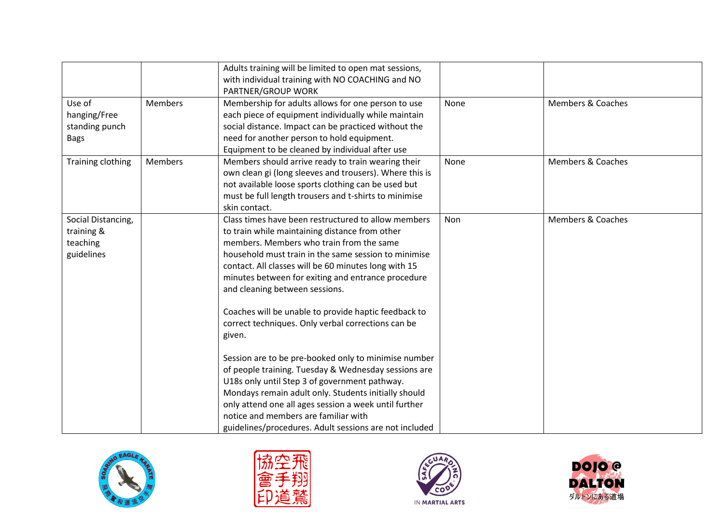|                                                            |                | Adults training will be limited to open mat sessions,<br>with individual training with NO COACHING and NO<br>PARTNER/GROUP WORK                                                                                                                                                                                                                                                                                                                                                                                                                                                                                                                                                                                                                                                                                                                                       |      |                              |
|------------------------------------------------------------|----------------|-----------------------------------------------------------------------------------------------------------------------------------------------------------------------------------------------------------------------------------------------------------------------------------------------------------------------------------------------------------------------------------------------------------------------------------------------------------------------------------------------------------------------------------------------------------------------------------------------------------------------------------------------------------------------------------------------------------------------------------------------------------------------------------------------------------------------------------------------------------------------|------|------------------------------|
| Use of<br>hanging/Free<br>standing punch<br><b>Bags</b>    | <b>Members</b> | Membership for adults allows for one person to use<br>each piece of equipment individually while maintain<br>social distance. Impact can be practiced without the<br>need for another person to hold equipment.<br>Equipment to be cleaned by individual after use                                                                                                                                                                                                                                                                                                                                                                                                                                                                                                                                                                                                    | None | <b>Members &amp; Coaches</b> |
| Training clothing                                          | <b>Members</b> | Members should arrive ready to train wearing their<br>own clean gi (long sleeves and trousers). Where this is<br>not available loose sports clothing can be used but<br>must be full length trousers and t-shirts to minimise<br>skin contact.                                                                                                                                                                                                                                                                                                                                                                                                                                                                                                                                                                                                                        | None | Members & Coaches            |
| Social Distancing,<br>training &<br>teaching<br>guidelines |                | Class times have been restructured to allow members<br>to train while maintaining distance from other<br>members. Members who train from the same<br>household must train in the same session to minimise<br>contact. All classes will be 60 minutes long with 15<br>minutes between for exiting and entrance procedure<br>and cleaning between sessions.<br>Coaches will be unable to provide haptic feedback to<br>correct techniques. Only verbal corrections can be<br>given.<br>Session are to be pre-booked only to minimise number<br>of people training. Tuesday & Wednesday sessions are<br>U18s only until Step 3 of government pathway.<br>Mondays remain adult only. Students initially should<br>only attend one all ages session a week until further<br>notice and members are familiar with<br>guidelines/procedures. Adult sessions are not included | Non  | <b>Members &amp; Coaches</b> |







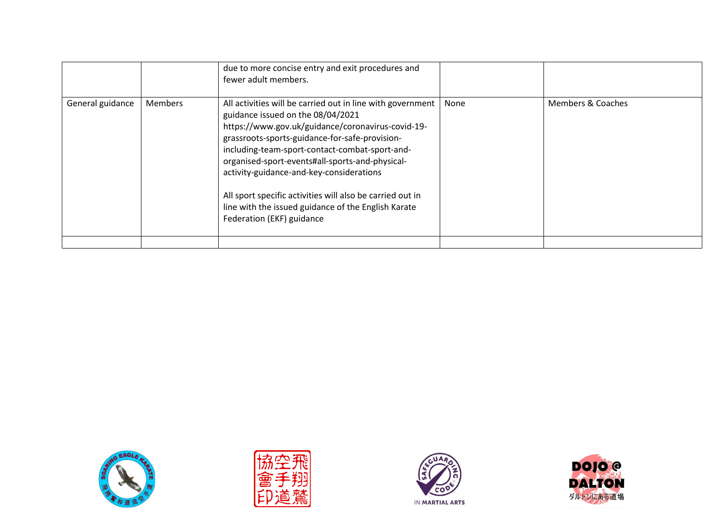|                  |                | due to more concise entry and exit procedures and<br>fewer adult members.                                                                                                                                                                                                                                                                                                                                                                                                                                |      |                   |
|------------------|----------------|----------------------------------------------------------------------------------------------------------------------------------------------------------------------------------------------------------------------------------------------------------------------------------------------------------------------------------------------------------------------------------------------------------------------------------------------------------------------------------------------------------|------|-------------------|
| General guidance | <b>Members</b> | All activities will be carried out in line with government<br>guidance issued on the 08/04/2021<br>https://www.gov.uk/guidance/coronavirus-covid-19-<br>grassroots-sports-guidance-for-safe-provision-<br>including-team-sport-contact-combat-sport-and-<br>organised-sport-events#all-sports-and-physical-<br>activity-guidance-and-key-considerations<br>All sport specific activities will also be carried out in<br>line with the issued guidance of the English Karate<br>Federation (EKF) guidance | None | Members & Coaches |
|                  |                |                                                                                                                                                                                                                                                                                                                                                                                                                                                                                                          |      |                   |







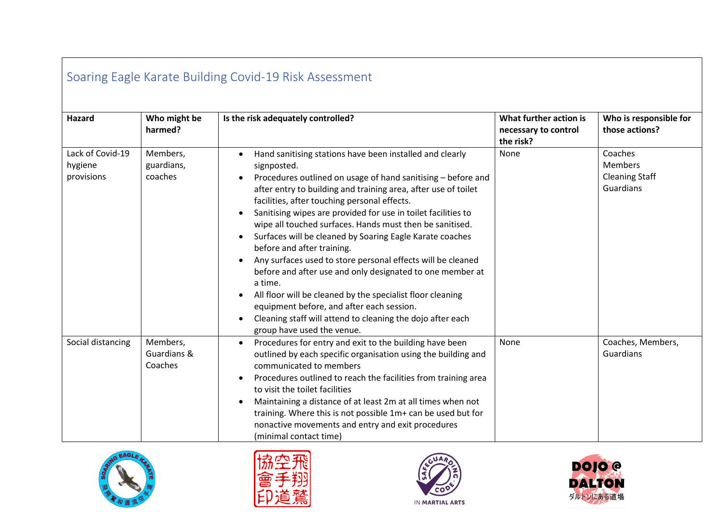| Soaring Eagle Karate Building Covid-19 Risk Assessment |                                    |                                                                                                                                                                                                                                                                                                                                                                                                                                                                                                                                                                                                                                                                                                                                                                                                                                             |                                                             |                                                          |  |
|--------------------------------------------------------|------------------------------------|---------------------------------------------------------------------------------------------------------------------------------------------------------------------------------------------------------------------------------------------------------------------------------------------------------------------------------------------------------------------------------------------------------------------------------------------------------------------------------------------------------------------------------------------------------------------------------------------------------------------------------------------------------------------------------------------------------------------------------------------------------------------------------------------------------------------------------------------|-------------------------------------------------------------|----------------------------------------------------------|--|
| <b>Hazard</b>                                          | Who might be<br>harmed?            | Is the risk adequately controlled?                                                                                                                                                                                                                                                                                                                                                                                                                                                                                                                                                                                                                                                                                                                                                                                                          | What further action is<br>necessary to control<br>the risk? | Who is responsible for<br>those actions?                 |  |
| Lack of Covid-19<br>hygiene<br>provisions              | Members,<br>guardians,<br>coaches  | Hand sanitising stations have been installed and clearly<br>signposted.<br>Procedures outlined on usage of hand sanitising - before and<br>after entry to building and training area, after use of toilet<br>facilities, after touching personal effects.<br>Sanitising wipes are provided for use in toilet facilities to<br>wipe all touched surfaces. Hands must then be sanitised.<br>Surfaces will be cleaned by Soaring Eagle Karate coaches<br>$\bullet$<br>before and after training.<br>Any surfaces used to store personal effects will be cleaned<br>before and after use and only designated to one member at<br>a time.<br>All floor will be cleaned by the specialist floor cleaning<br>equipment before, and after each session.<br>Cleaning staff will attend to cleaning the dojo after each<br>group have used the venue. | None                                                        | Coaches<br>Members<br><b>Cleaning Staff</b><br>Guardians |  |
| Social distancing                                      | Members,<br>Guardians &<br>Coaches | Procedures for entry and exit to the building have been<br>$\bullet$<br>outlined by each specific organisation using the building and<br>communicated to members<br>Procedures outlined to reach the facilities from training area<br>to visit the toilet facilities<br>Maintaining a distance of at least 2m at all times when not<br>$\bullet$<br>training. Where this is not possible 1m+ can be used but for<br>nonactive movements and entry and exit procedures<br>(minimal contact time)                                                                                                                                                                                                                                                                                                                                             | None                                                        | Coaches, Members,<br>Guardians                           |  |







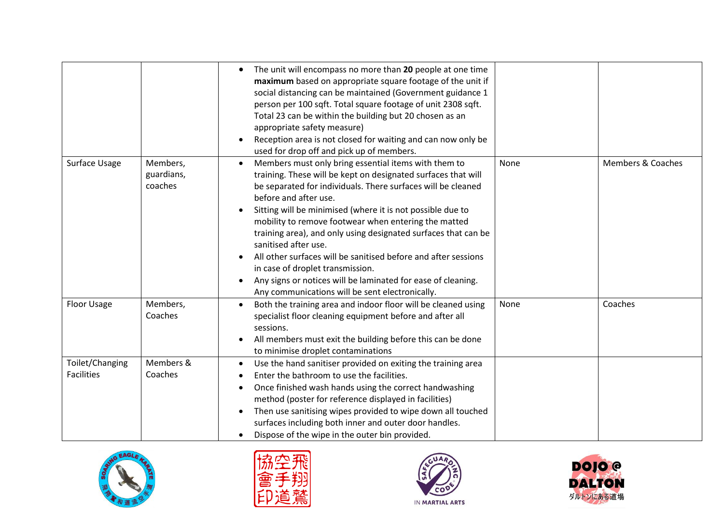|                                      |                                   | The unit will encompass no more than 20 people at one time<br>$\bullet$<br>maximum based on appropriate square footage of the unit if<br>social distancing can be maintained (Government guidance 1<br>person per 100 sqft. Total square footage of unit 2308 sqft.<br>Total 23 can be within the building but 20 chosen as an<br>appropriate safety measure)<br>Reception area is not closed for waiting and can now only be<br>used for drop off and pick up of members.                                                                                                                           |      |                              |
|--------------------------------------|-----------------------------------|------------------------------------------------------------------------------------------------------------------------------------------------------------------------------------------------------------------------------------------------------------------------------------------------------------------------------------------------------------------------------------------------------------------------------------------------------------------------------------------------------------------------------------------------------------------------------------------------------|------|------------------------------|
| Surface Usage                        | Members,<br>guardians,<br>coaches | Members must only bring essential items with them to<br>training. These will be kept on designated surfaces that will<br>be separated for individuals. There surfaces will be cleaned<br>before and after use.<br>Sitting will be minimised (where it is not possible due to<br>mobility to remove footwear when entering the matted<br>training area), and only using designated surfaces that can be<br>sanitised after use.<br>All other surfaces will be sanitised before and after sessions<br>in case of droplet transmission.<br>Any signs or notices will be laminated for ease of cleaning. | None | <b>Members &amp; Coaches</b> |
| Floor Usage                          | Members,<br>Coaches               | Any communications will be sent electronically.<br>Both the training area and indoor floor will be cleaned using<br>specialist floor cleaning equipment before and after all<br>sessions.<br>All members must exit the building before this can be done<br>to minimise droplet contaminations                                                                                                                                                                                                                                                                                                        | None | Coaches                      |
| Toilet/Changing<br><b>Facilities</b> | Members &<br>Coaches              | Use the hand sanitiser provided on exiting the training area<br>$\bullet$<br>Enter the bathroom to use the facilities.<br>Once finished wash hands using the correct handwashing<br>method (poster for reference displayed in facilities)<br>Then use sanitising wipes provided to wipe down all touched<br>surfaces including both inner and outer door handles.<br>Dispose of the wipe in the outer bin provided.                                                                                                                                                                                  |      |                              |